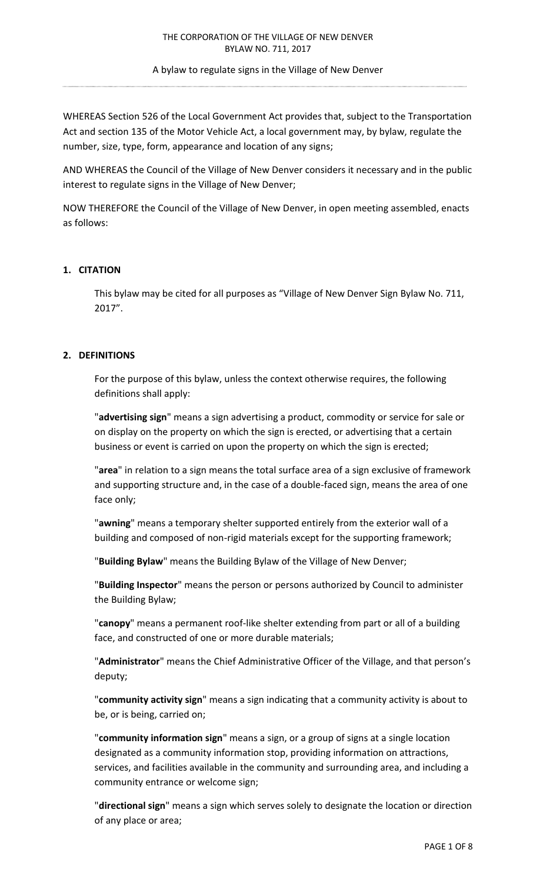A bylaw to regulate signs in the Village of New Denver

WHEREAS Section 526 of the Local Government Act provides that, subject to the Transportation Act and section 135 of the Motor Vehicle Act, a local government may, by bylaw, regulate the number, size, type, form, appearance and location of any signs;

AND WHEREAS the Council of the Village of New Denver considers it necessary and in the public interest to regulate signs in the Village of New Denver;

NOW THEREFORE the Council of the Village of New Denver, in open meeting assembled, enacts as follows:

# **1. CITATION**

This bylaw may be cited for all purposes as "Village of New Denver Sign Bylaw No. 711, 2017".

## **2. DEFINITIONS**

For the purpose of this bylaw, unless the context otherwise requires, the following definitions shall apply:

"**advertising sign**" means a sign advertising a product, commodity or service for sale or on display on the property on which the sign is erected, or advertising that a certain business or event is carried on upon the property on which the sign is erected;

"**area**" in relation to a sign means the total surface area of a sign exclusive of framework and supporting structure and, in the case of a double-faced sign, means the area of one face only;

"**awning**" means a temporary shelter supported entirely from the exterior wall of a building and composed of non-rigid materials except for the supporting framework;

"**Building Bylaw**" means the Building Bylaw of the Village of New Denver;

"**Building Inspector**" means the person or persons authorized by Council to administer the Building Bylaw;

"**canopy**" means a permanent roof-like shelter extending from part or all of a building face, and constructed of one or more durable materials;

"**Administrator**" means the Chief Administrative Officer of the Village, and that person's deputy;

"**community activity sign**" means a sign indicating that a community activity is about to be, or is being, carried on;

"**community information sign**" means a sign, or a group of signs at a single location designated as a community information stop, providing information on attractions, services, and facilities available in the community and surrounding area, and including a community entrance or welcome sign;

"**directional sign**" means a sign which serves solely to designate the location or direction of any place or area;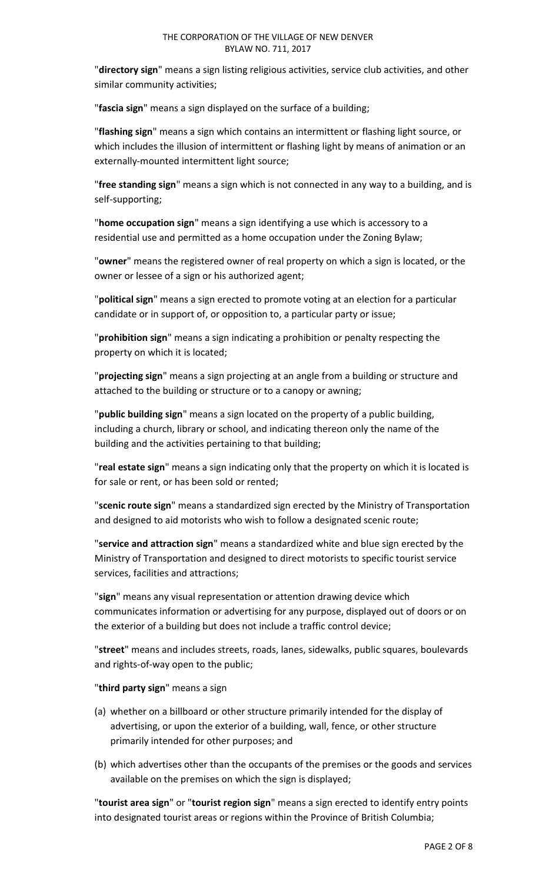"**directory sign**" means a sign listing religious activities, service club activities, and other similar community activities;

"**fascia sign**" means a sign displayed on the surface of a building;

"**flashing sign**" means a sign which contains an intermittent or flashing light source, or which includes the illusion of intermittent or flashing light by means of animation or an externally-mounted intermittent light source;

"**free standing sign**" means a sign which is not connected in any way to a building, and is self-supporting;

"**home occupation sign**" means a sign identifying a use which is accessory to a residential use and permitted as a home occupation under the Zoning Bylaw;

"**owner**" means the registered owner of real property on which a sign is located, or the owner or lessee of a sign or his authorized agent;

"**political sign**" means a sign erected to promote voting at an election for a particular candidate or in support of, or opposition to, a particular party or issue;

"**prohibition sign**" means a sign indicating a prohibition or penalty respecting the property on which it is located;

"**projecting sign**" means a sign projecting at an angle from a building or structure and attached to the building or structure or to a canopy or awning;

"**public building sign**" means a sign located on the property of a public building, including a church, library or school, and indicating thereon only the name of the building and the activities pertaining to that building;

"**real estate sign**" means a sign indicating only that the property on which it is located is for sale or rent, or has been sold or rented;

"**scenic route sign**" means a standardized sign erected by the Ministry of Transportation and designed to aid motorists who wish to follow a designated scenic route;

"**service and attraction sign**" means a standardized white and blue sign erected by the Ministry of Transportation and designed to direct motorists to specific tourist service services, facilities and attractions;

"**sign**" means any visual representation or attention drawing device which communicates information or advertising for any purpose, displayed out of doors or on the exterior of a building but does not include a traffic control device;

"**street**" means and includes streets, roads, lanes, sidewalks, public squares, boulevards and rights-of-way open to the public;

# "**third party sign**" means a sign

- (a) whether on a billboard or other structure primarily intended for the display of advertising, or upon the exterior of a building, wall, fence, or other structure primarily intended for other purposes; and
- (b) which advertises other than the occupants of the premises or the goods and services available on the premises on which the sign is displayed;

"**tourist area sign**" or "**tourist region sign**" means a sign erected to identify entry points into designated tourist areas or regions within the Province of British Columbia;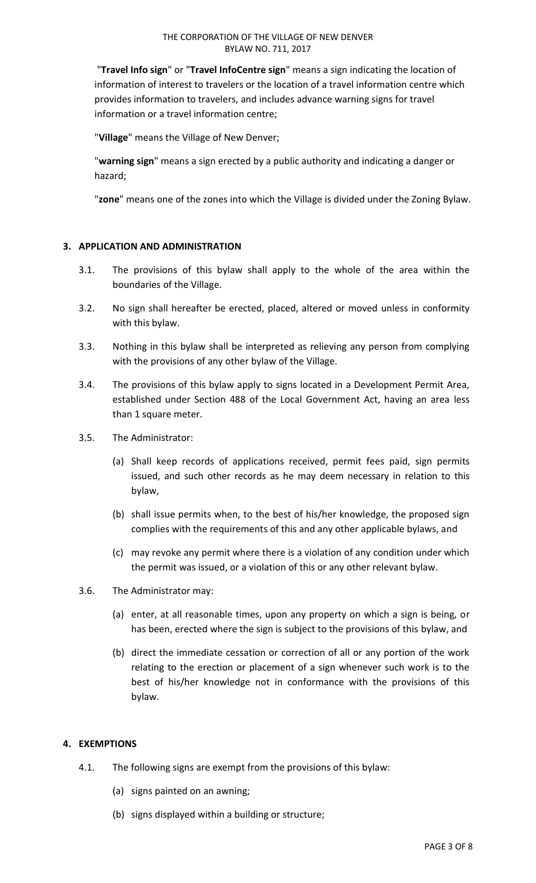"**Travel Info sign**" or "**Travel InfoCentre sign**" means a sign indicating the location of information of interest to travelers or the location of a travel information centre which provides information to travelers, and includes advance warning signs for travel information or a travel information centre;

"**Village**" means the Village of New Denver;

"**warning sign**" means a sign erected by a public authority and indicating a danger or hazard;

"**zone**" means one of the zones into which the Village is divided under the Zoning Bylaw.

# **3. APPLICATION AND ADMINISTRATION**

- 3.1. The provisions of this bylaw shall apply to the whole of the area within the boundaries of the Village.
- 3.2. No sign shall hereafter be erected, placed, altered or moved unless in conformity with this bylaw.
- 3.3. Nothing in this bylaw shall be interpreted as relieving any person from complying with the provisions of any other bylaw of the Village.
- 3.4. The provisions of this bylaw apply to signs located in a Development Permit Area, established under Section 488 of the Local Government Act, having an area less than 1 square meter.
- 3.5. The Administrator:
	- (a) Shall keep records of applications received, permit fees paid, sign permits issued, and such other records as he may deem necessary in relation to this bylaw,
	- (b) shall issue permits when, to the best of his/her knowledge, the proposed sign complies with the requirements of this and any other applicable bylaws, and
	- (c) may revoke any permit where there is a violation of any condition under which the permit was issued, or a violation of this or any other relevant bylaw.
- 3.6. The Administrator may:
	- (a) enter, at all reasonable times, upon any property on which a sign is being, or has been, erected where the sign is subject to the provisions of this bylaw, and
	- (b) direct the immediate cessation or correction of all or any portion of the work relating to the erection or placement of a sign whenever such work is to the best of his/her knowledge not in conformance with the provisions of this bylaw.

## **4. EXEMPTIONS**

- 4.1. The following signs are exempt from the provisions of this bylaw:
	- (a) signs painted on an awning;
	- (b) signs displayed within a building or structure;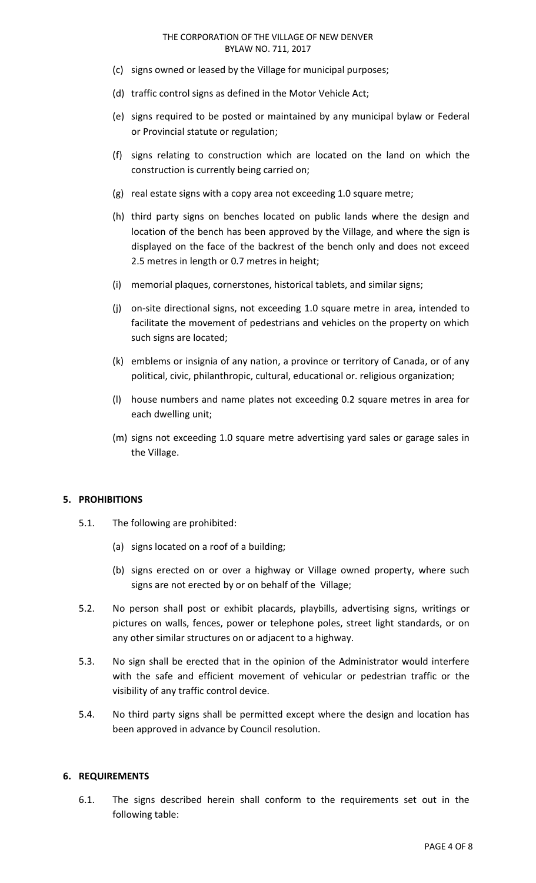#### THE CORPORATION OF THE VILLAGE OF NEW DENVER BYLAW NO. 711, 2017

- (c) signs owned or leased by the Village for municipal purposes;
- (d) traffic control signs as defined in the Motor Vehicle Act;
- (e) signs required to be posted or maintained by any municipal bylaw or Federal or Provincial statute or regulation;
- (f) signs relating to construction which are located on the land on which the construction is currently being carried on;
- (g) real estate signs with a copy area not exceeding 1.0 square metre;
- (h) third party signs on benches located on public lands where the design and location of the bench has been approved by the Village, and where the sign is displayed on the face of the backrest of the bench only and does not exceed 2.5 metres in length or 0.7 metres in height;
- (i) memorial plaques, cornerstones, historical tablets, and similar signs;
- (j) on-site directional signs, not exceeding 1.0 square metre in area, intended to facilitate the movement of pedestrians and vehicles on the property on which such signs are located;
- (k) emblems or insignia of any nation, a province or territory of Canada, or of any political, civic, philanthropic, cultural, educational or. religious organization;
- (l) house numbers and name plates not exceeding 0.2 square metres in area for each dwelling unit;
- (m) signs not exceeding 1.0 square metre advertising yard sales or garage sales in the Village.

## **5. PROHIBITIONS**

- 5.1. The following are prohibited:
	- (a) signs located on a roof of a building;
	- (b) signs erected on or over a highway or Village owned property, where such signs are not erected by or on behalf of the Village;
- 5.2. No person shall post or exhibit placards, playbills, advertising signs, writings or pictures on walls, fences, power or telephone poles, street light standards, or on any other similar structures on or adjacent to a highway.
- 5.3. No sign shall be erected that in the opinion of the Administrator would interfere with the safe and efficient movement of vehicular or pedestrian traffic or the visibility of any traffic control device.
- 5.4. No third party signs shall be permitted except where the design and location has been approved in advance by Council resolution.

#### **6. REQUIREMENTS**

6.1. The signs described herein shall conform to the requirements set out in the following table: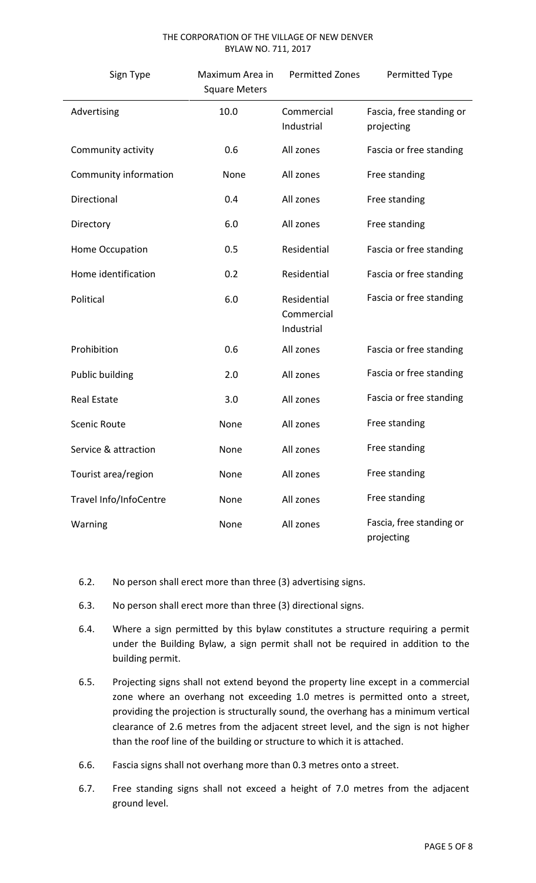#### THE CORPORATION OF THE VILLAGE OF NEW DENVER BYLAW NO. 711, 2017

| Sign Type              | Maximum Area in<br><b>Square Meters</b> | <b>Permitted Zones</b>                  | Permitted Type                         |
|------------------------|-----------------------------------------|-----------------------------------------|----------------------------------------|
| Advertising            | 10.0                                    | Commercial<br>Industrial                | Fascia, free standing or<br>projecting |
| Community activity     | 0.6                                     | All zones                               | Fascia or free standing                |
| Community information  | None                                    | All zones                               | Free standing                          |
| Directional            | 0.4                                     | All zones                               | Free standing                          |
| Directory              | 6.0                                     | All zones                               | Free standing                          |
| Home Occupation        | 0.5                                     | Residential                             | Fascia or free standing                |
| Home identification    | 0.2                                     | Residential                             | Fascia or free standing                |
| Political              | 6.0                                     | Residential<br>Commercial<br>Industrial | Fascia or free standing                |
| Prohibition            | 0.6                                     | All zones                               | Fascia or free standing                |
| Public building        | 2.0                                     | All zones                               | Fascia or free standing                |
| <b>Real Estate</b>     | 3.0                                     | All zones                               | Fascia or free standing                |
| <b>Scenic Route</b>    | None                                    | All zones                               | Free standing                          |
| Service & attraction   | None                                    | All zones                               | Free standing                          |
| Tourist area/region    | None                                    | All zones                               | Free standing                          |
| Travel Info/InfoCentre | None                                    | All zones                               | Free standing                          |
| Warning                | None                                    | All zones                               | Fascia, free standing or<br>projecting |

- 6.2. No person shall erect more than three (3) advertising signs.
- 6.3. No person shall erect more than three (3) directional signs.
- 6.4. Where a sign permitted by this bylaw constitutes a structure requiring a permit under the Building Bylaw, a sign permit shall not be required in addition to the building permit.
- 6.5. Projecting signs shall not extend beyond the property line except in a commercial zone where an overhang not exceeding 1.0 metres is permitted onto a street, providing the projection is structurally sound, the overhang has a minimum vertical clearance of 2.6 metres from the adjacent street level, and the sign is not higher than the roof line of the building or structure to which it is attached.
- 6.6. Fascia signs shall not overhang more than 0.3 metres onto a street.
- 6.7. Free standing signs shall not exceed a height of 7.0 metres from the adjacent ground level.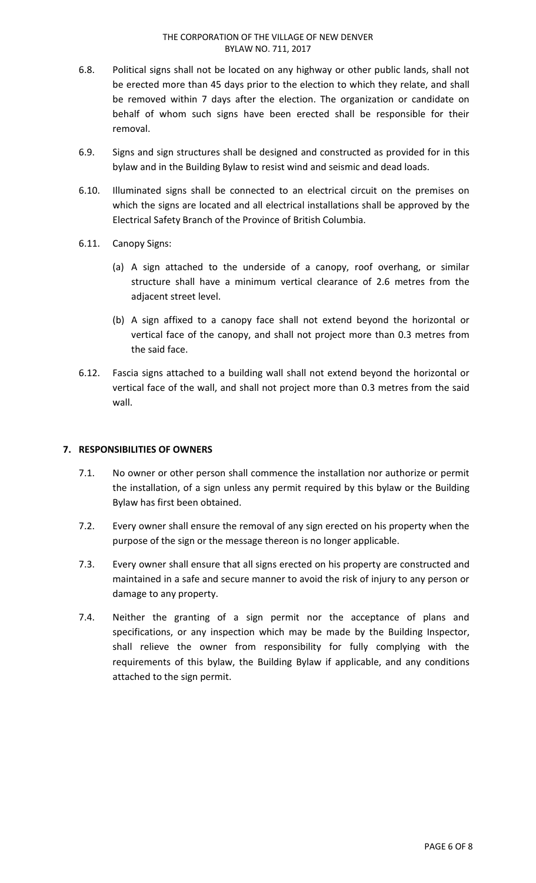- 6.8. Political signs shall not be located on any highway or other public lands, shall not be erected more than 45 days prior to the election to which they relate, and shall be removed within 7 days after the election. The organization or candidate on behalf of whom such signs have been erected shall be responsible for their removal.
- 6.9. Signs and sign structures shall be designed and constructed as provided for in this bylaw and in the Building Bylaw to resist wind and seismic and dead loads.
- 6.10. Illuminated signs shall be connected to an electrical circuit on the premises on which the signs are located and all electrical installations shall be approved by the Electrical Safety Branch of the Province of British Columbia.
- 6.11. Canopy Signs:
	- (a) A sign attached to the underside of a canopy, roof overhang, or similar structure shall have a minimum vertical clearance of 2.6 metres from the adjacent street level.
	- (b) A sign affixed to a canopy face shall not extend beyond the horizontal or vertical face of the canopy, and shall not project more than 0.3 metres from the said face.
- 6.12. Fascia signs attached to a building wall shall not extend beyond the horizontal or vertical face of the wall, and shall not project more than 0.3 metres from the said wall.

## **7. RESPONSIBILITIES OF OWNERS**

- 7.1. No owner or other person shall commence the installation nor authorize or permit the installation, of a sign unless any permit required by this bylaw or the Building Bylaw has first been obtained.
- 7.2. Every owner shall ensure the removal of any sign erected on his property when the purpose of the sign or the message thereon is no longer applicable.
- 7.3. Every owner shall ensure that all signs erected on his property are constructed and maintained in a safe and secure manner to avoid the risk of injury to any person or damage to any property.
- 7.4. Neither the granting of a sign permit nor the acceptance of plans and specifications, or any inspection which may be made by the Building Inspector, shall relieve the owner from responsibility for fully complying with the requirements of this bylaw, the Building Bylaw if applicable, and any conditions attached to the sign permit.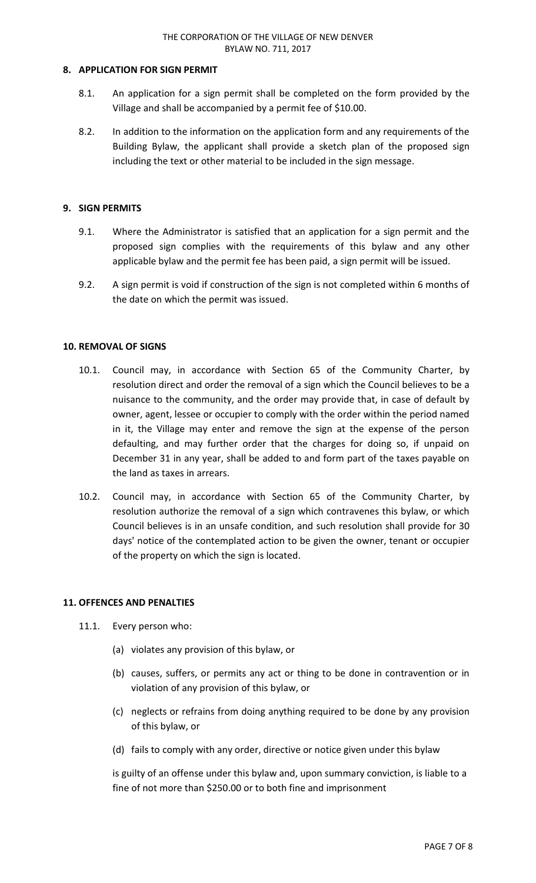## **8. APPLICATION FOR SIGN PERMIT**

- 8.1. An application for a sign permit shall be completed on the form provided by the Village and shall be accompanied by a permit fee of \$10.00.
- 8.2. In addition to the information on the application form and any requirements of the Building Bylaw, the applicant shall provide a sketch plan of the proposed sign including the text or other material to be included in the sign message.

### **9. SIGN PERMITS**

- 9.1. Where the Administrator is satisfied that an application for a sign permit and the proposed sign complies with the requirements of this bylaw and any other applicable bylaw and the permit fee has been paid, a sign permit will be issued.
- 9.2. A sign permit is void if construction of the sign is not completed within 6 months of the date on which the permit was issued.

### **10. REMOVAL OF SIGNS**

- 10.1. Council may, in accordance with Section 65 of the Community Charter, by resolution direct and order the removal of a sign which the Council believes to be a nuisance to the community, and the order may provide that, in case of default by owner, agent, lessee or occupier to comply with the order within the period named in it, the Village may enter and remove the sign at the expense of the person defaulting, and may further order that the charges for doing so, if unpaid on December 31 in any year, shall be added to and form part of the taxes payable on the land as taxes in arrears.
- 10.2. Council may, in accordance with Section 65 of the Community Charter, by resolution authorize the removal of a sign which contravenes this bylaw, or which Council believes is in an unsafe condition, and such resolution shall provide for 30 days' notice of the contemplated action to be given the owner, tenant or occupier of the property on which the sign is located.

#### **11. OFFENCES AND PENALTIES**

- 11.1. Every person who:
	- (a) violates any provision of this bylaw, or
	- (b) causes, suffers, or permits any act or thing to be done in contravention or in violation of any provision of this bylaw, or
	- (c) neglects or refrains from doing anything required to be done by any provision of this bylaw, or
	- (d) fails to comply with any order, directive or notice given under this bylaw

is guilty of an offense under this bylaw and, upon summary conviction, is liable to a fine of not more than \$250.00 or to both fine and imprisonment